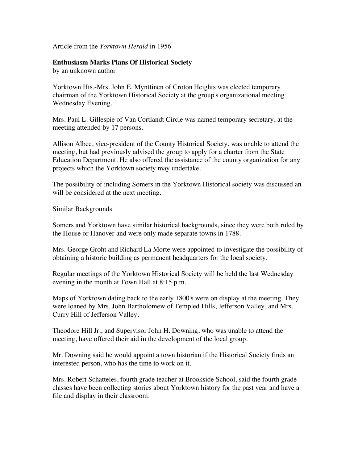Article from the *Yorktown Herald* in 1956

## **Enthusiasm Marks Plans Of Historical Society**

by an unknown author

Yorktown Hts.-Mrs. John E. Mynttinen of Croton Heights was elected temporary chairman of the Yorktown Historical Society at the group's organizational meeting Wednesday Evening.

Mrs. Paul L. Gillespie of Van Cortlandt Circle was named temporary secretary, at the meeting attended by 17 persons.

Allison Albee, vice-president of the County Historical Society, was unable to attend the meeting, but had previously advised the group to apply for a charter from the State Education Department. He also offered the assistance of the county organization for any projects which the Yorktown society may undertake.

The possibility of including Somers in the Yorktown Historical society was discussed an will be considered at the next meeting.

Similar Backgrounds

Somers and Yorktown have similar historical backgrounds, since they were both ruled by the House or Hanover and were only made separate towns in 1788.

Mrs. George Groht and Richard La Morte were appointed to investigate the possibility of obtaining a historic building as permanent headquarters for the local society.

Regular meetings of the Yorktown Historical Society will be held the last Wednesday evening in the month at Town Hall at 8:15 p.m.

Maps of Yorktown dating back to the early 1800's were on display at the meeting. They were loaned by Mrs. John Bartholomew of Templed Hills, Jefferson Valley, and Mrs. Curry Hill of Jefferson Valley.

Theodore Hill Jr., and Supervisor John H. Downing, who was unable to attend the meeting, have offered their aid in the development of the local group.

Mr. Downing said he would appoint a town historian if the Historical Society finds an interested person, who has the time to work on it.

Mrs. Robert Schatteles, fourth grade teacher at Brookside School, said the fourth grade classes have been collecting stories about Yorktown history for the past year and have a file and display in their classroom.